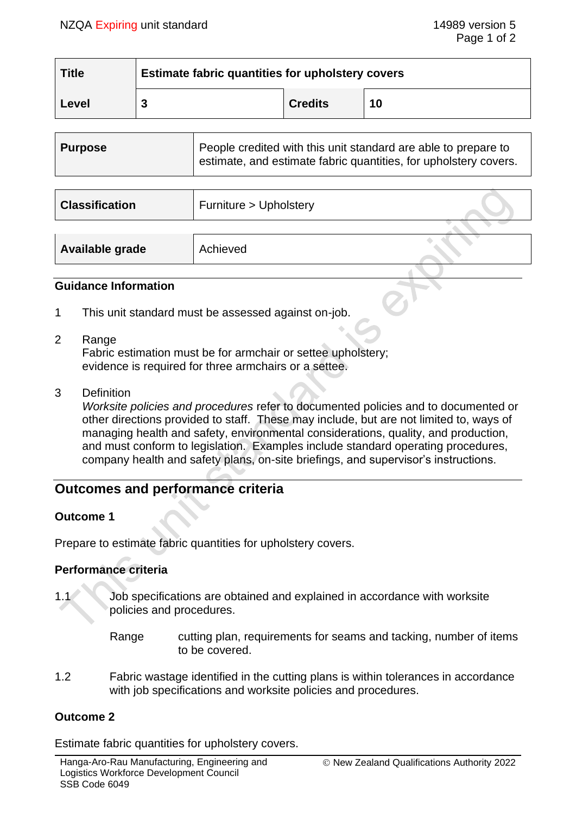| <b>Title</b> | <b>Estimate fabric quantities for upholstery covers</b> |                |    |
|--------------|---------------------------------------------------------|----------------|----|
| Level        |                                                         | <b>Credits</b> | 10 |

| Purpose | People credited with this unit standard are able to prepare to<br>estimate, and estimate fabric quantities, for upholstery covers. |
|---------|------------------------------------------------------------------------------------------------------------------------------------|
|         |                                                                                                                                    |

| <b>Classification</b> | Furniture > Upholstery |  |
|-----------------------|------------------------|--|
|                       |                        |  |
| Available grade       | Achieved               |  |

### **Guidance Information**

- 1 This unit standard must be assessed against on-job.
- 2 Range

Fabric estimation must be for armchair or settee upholstery; evidence is required for three armchairs or a settee.

3 Definition

*Worksite policies and procedures* refer to documented policies and to documented or other directions provided to staff. These may include, but are not limited to, ways of managing health and safety, environmental considerations, quality, and production, and must conform to legislation. Examples include standard operating procedures, company health and safety plans, on-site briefings, and supervisor's instructions.

# **Outcomes and performance criteria**

### **Outcome 1**

Prepare to estimate fabric quantities for upholstery covers.

### **Performance criteria**

- 1.1 Job specifications are obtained and explained in accordance with worksite policies and procedures.
	- Range cutting plan, requirements for seams and tacking, number of items to be covered.
- 1.2 Fabric wastage identified in the cutting plans is within tolerances in accordance with job specifications and worksite policies and procedures.

### **Outcome 2**

Estimate fabric quantities for upholstery covers.